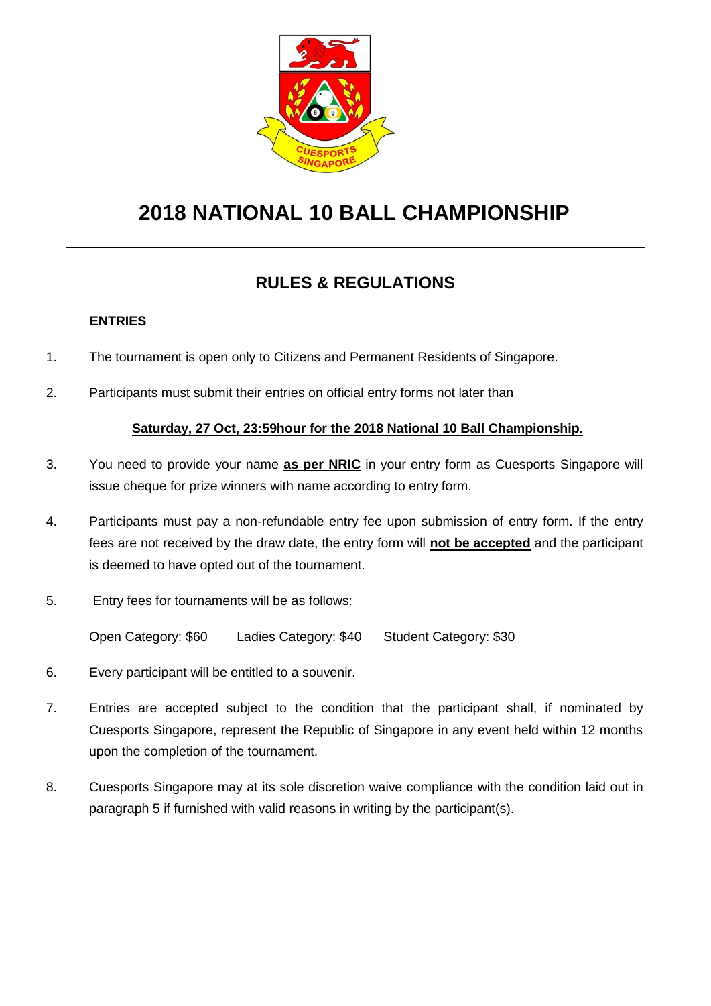

# **2018 NATIONAL 10 BALL CHAMPIONSHIP**

# **RULES & REGULATIONS**

# **ENTRIES**

- 1. The tournament is open only to Citizens and Permanent Residents of Singapore.
- 2. Participants must submit their entries on official entry forms not later than

# **Saturday, 27 Oct, 23:59hour for the 2018 National 10 Ball Championship.**

- 3. You need to provide your name **as per NRIC** in your entry form as Cuesports Singapore will issue cheque for prize winners with name according to entry form.
- 4. Participants must pay a non-refundable entry fee upon submission of entry form. If the entry fees are not received by the draw date, the entry form will **not be accepted** and the participant is deemed to have opted out of the tournament.
- 5. Entry fees for tournaments will be as follows:

Open Category: \$60 Ladies Category: \$40 Student Category: \$30

- 6. Every participant will be entitled to a souvenir.
- 7. Entries are accepted subject to the condition that the participant shall, if nominated by Cuesports Singapore, represent the Republic of Singapore in any event held within 12 months upon the completion of the tournament.
- 8. Cuesports Singapore may at its sole discretion waive compliance with the condition laid out in paragraph 5 if furnished with valid reasons in writing by the participant(s).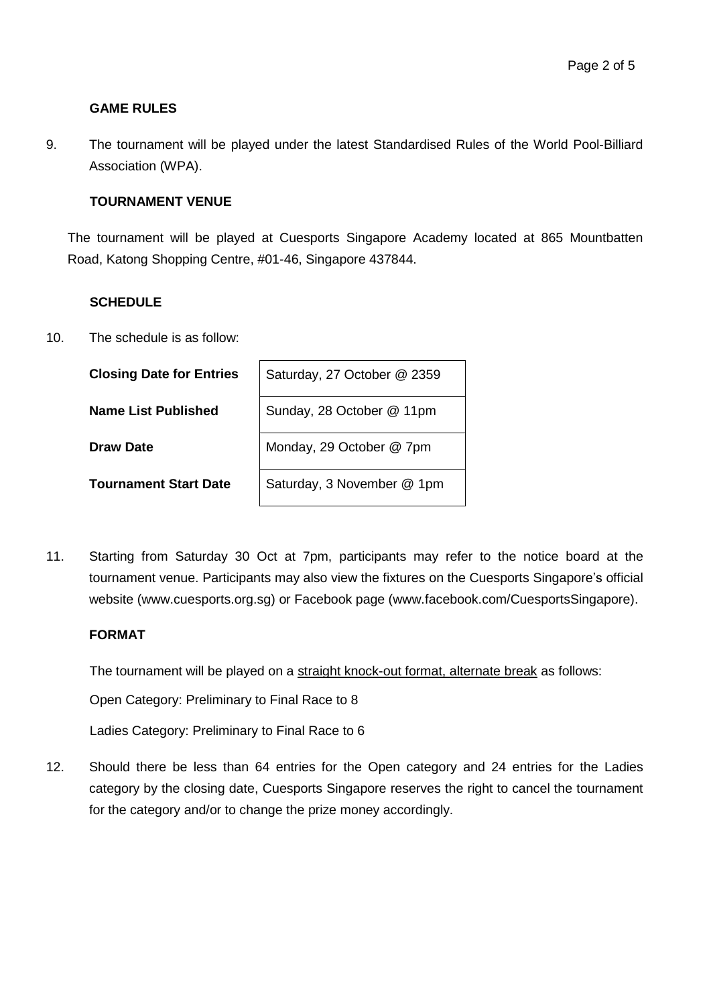#### **GAME RULES**

9. The tournament will be played under the latest Standardised Rules of the World Pool-Billiard Association (WPA).

#### **TOURNAMENT VENUE**

The tournament will be played at Cuesports Singapore Academy located at 865 Mountbatten Road, Katong Shopping Centre, #01-46, Singapore 437844.

#### **SCHEDULE**

10. The schedule is as follow:

| <b>Closing Date for Entries</b> | Saturday, 27 October @ 2359 |
|---------------------------------|-----------------------------|
| Name List Published             | Sunday, 28 October @ 11pm   |
| Draw Date                       | Monday, 29 October @ 7pm    |
| <b>Tournament Start Date</b>    | Saturday, 3 November @ 1pm  |

11. Starting from Saturday 30 Oct at 7pm, participants may refer to the notice board at the tournament venue. Participants may also view the fixtures on the Cuesports Singapore's official website (www.cuesports.org.sg) or Facebook page (www.facebook.com/CuesportsSingapore).

#### **FORMAT**

The tournament will be played on a straight knock-out format, alternate break as follows:

Open Category: Preliminary to Final Race to 8

Ladies Category: Preliminary to Final Race to 6

12. Should there be less than 64 entries for the Open category and 24 entries for the Ladies category by the closing date, Cuesports Singapore reserves the right to cancel the tournament for the category and/or to change the prize money accordingly.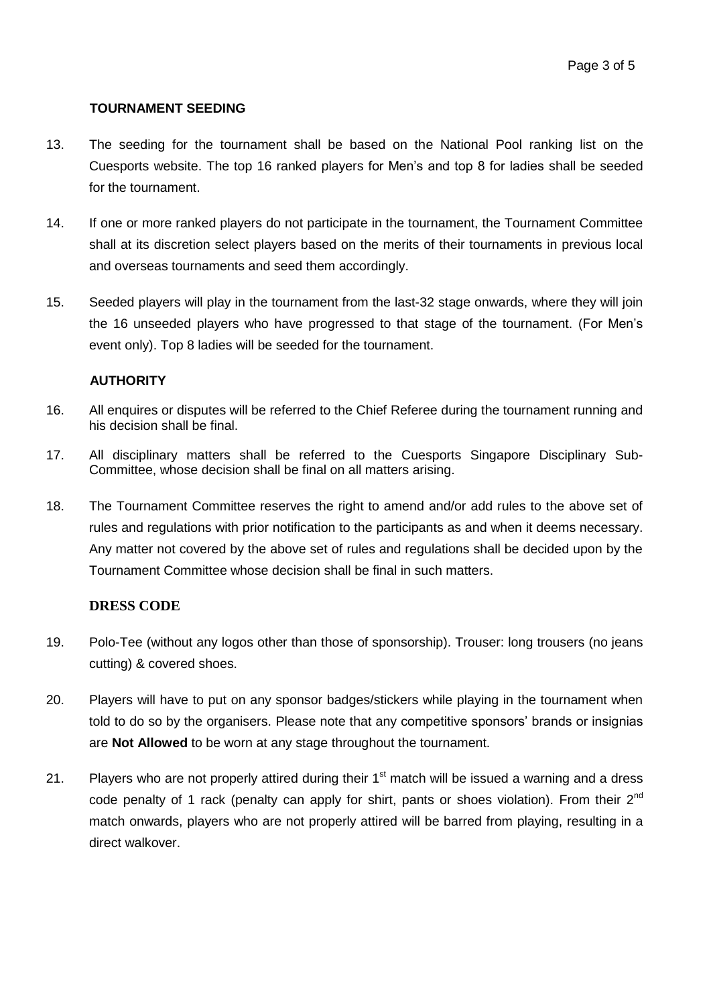## **TOURNAMENT SEEDING**

- 13. The seeding for the tournament shall be based on the National Pool ranking list on the Cuesports website. The top 16 ranked players for Men's and top 8 for ladies shall be seeded for the tournament.
- 14. If one or more ranked players do not participate in the tournament, the Tournament Committee shall at its discretion select players based on the merits of their tournaments in previous local and overseas tournaments and seed them accordingly.
- 15. Seeded players will play in the tournament from the last-32 stage onwards, where they will join the 16 unseeded players who have progressed to that stage of the tournament. (For Men's event only). Top 8 ladies will be seeded for the tournament.

## **AUTHORITY**

- 16. All enquires or disputes will be referred to the Chief Referee during the tournament running and his decision shall be final.
- 17. All disciplinary matters shall be referred to the Cuesports Singapore Disciplinary Sub-Committee, whose decision shall be final on all matters arising.
- 18. The Tournament Committee reserves the right to amend and/or add rules to the above set of rules and regulations with prior notification to the participants as and when it deems necessary. Any matter not covered by the above set of rules and regulations shall be decided upon by the Tournament Committee whose decision shall be final in such matters.

# **DRESS CODE**

- 19. Polo-Tee (without any logos other than those of sponsorship). Trouser: long trousers (no jeans cutting) & covered shoes.
- 20. Players will have to put on any sponsor badges/stickers while playing in the tournament when told to do so by the organisers. Please note that any competitive sponsors' brands or insignias are **Not Allowed** to be worn at any stage throughout the tournament.
- 21. Players who are not properly attired during their  $1<sup>st</sup>$  match will be issued a warning and a dress code penalty of 1 rack (penalty can apply for shirt, pants or shoes violation). From their 2<sup>nd</sup> match onwards, players who are not properly attired will be barred from playing, resulting in a direct walkover.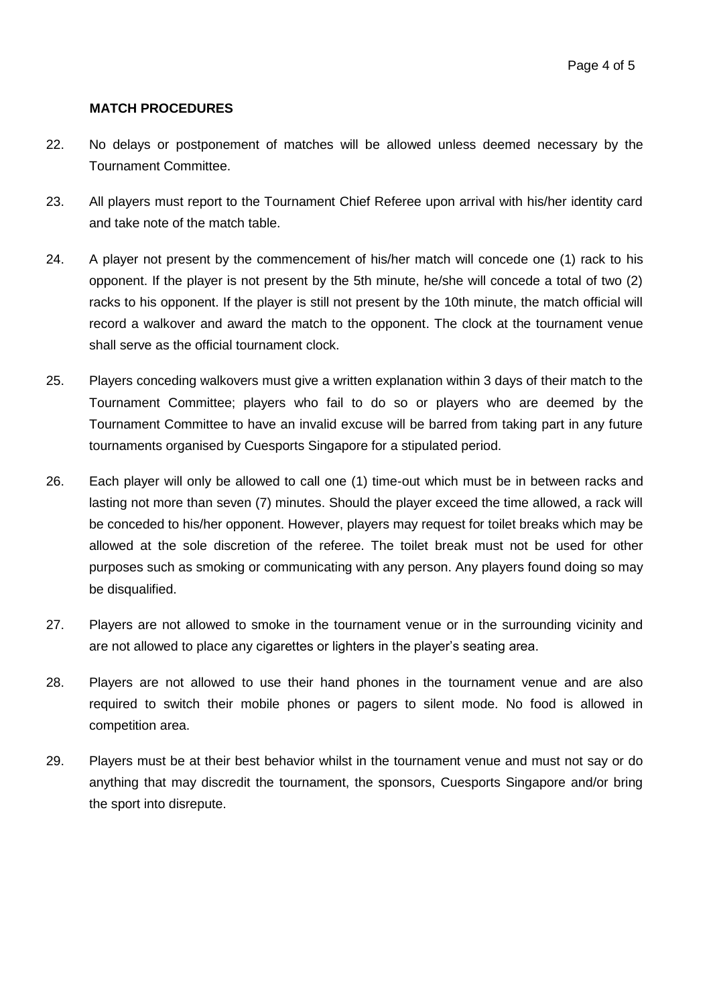#### **MATCH PROCEDURES**

- 22. No delays or postponement of matches will be allowed unless deemed necessary by the Tournament Committee.
- 23. All players must report to the Tournament Chief Referee upon arrival with his/her identity card and take note of the match table.
- 24. A player not present by the commencement of his/her match will concede one (1) rack to his opponent. If the player is not present by the 5th minute, he/she will concede a total of two (2) racks to his opponent. If the player is still not present by the 10th minute, the match official will record a walkover and award the match to the opponent. The clock at the tournament venue shall serve as the official tournament clock.
- 25. Players conceding walkovers must give a written explanation within 3 days of their match to the Tournament Committee; players who fail to do so or players who are deemed by the Tournament Committee to have an invalid excuse will be barred from taking part in any future tournaments organised by Cuesports Singapore for a stipulated period.
- 26. Each player will only be allowed to call one (1) time-out which must be in between racks and lasting not more than seven (7) minutes. Should the player exceed the time allowed, a rack will be conceded to his/her opponent. However, players may request for toilet breaks which may be allowed at the sole discretion of the referee. The toilet break must not be used for other purposes such as smoking or communicating with any person. Any players found doing so may be disqualified.
- 27. Players are not allowed to smoke in the tournament venue or in the surrounding vicinity and are not allowed to place any cigarettes or lighters in the player's seating area.
- 28. Players are not allowed to use their hand phones in the tournament venue and are also required to switch their mobile phones or pagers to silent mode. No food is allowed in competition area.
- 29. Players must be at their best behavior whilst in the tournament venue and must not say or do anything that may discredit the tournament, the sponsors, Cuesports Singapore and/or bring the sport into disrepute.